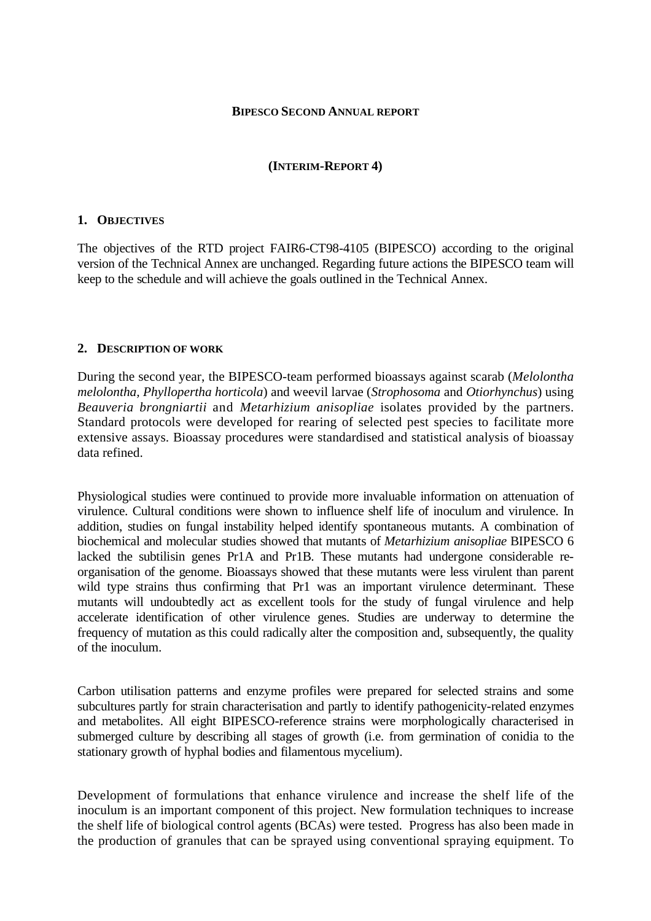#### **BIPESCO SECOND ANNUAL REPORT**

### **(INTERIM-REPORT 4)**

#### **1. OBJECTIVES**

The objectives of the RTD project FAIR6-CT98-4105 (BIPESCO) according to the original version of the Technical Annex are unchanged. Regarding future actions the BIPESCO team will keep to the schedule and will achieve the goals outlined in the Technical Annex.

#### **2. DESCRIPTION OF WORK**

During the second year, the BIPESCO-team performed bioassays against scarab (*Melolontha melolontha, Phyllopertha horticola*) and weevil larvae (*Strophosoma* and *Otiorhynchus*) using *Beauveria brongniartii* and *Metarhizium anisopliae* isolates provided by the partners. Standard protocols were developed for rearing of selected pest species to facilitate more extensive assays. Bioassay procedures were standardised and statistical analysis of bioassay data refined.

Physiological studies were continued to provide more invaluable information on attenuation of virulence. Cultural conditions were shown to influence shelf life of inoculum and virulence. In addition, studies on fungal instability helped identify spontaneous mutants. A combination of biochemical and molecular studies showed that mutants of *Metarhizium anisopliae* BIPESCO 6 lacked the subtilisin genes Pr1A and Pr1B. These mutants had undergone considerable reorganisation of the genome. Bioassays showed that these mutants were less virulent than parent wild type strains thus confirming that Pr1 was an important virulence determinant. These mutants will undoubtedly act as excellent tools for the study of fungal virulence and help accelerate identification of other virulence genes. Studies are underway to determine the frequency of mutation as this could radically alter the composition and, subsequently, the quality of the inoculum.

Carbon utilisation patterns and enzyme profiles were prepared for selected strains and some subcultures partly for strain characterisation and partly to identify pathogenicity-related enzymes and metabolites. All eight BIPESCO-reference strains were morphologically characterised in submerged culture by describing all stages of growth (i.e. from germination of conidia to the stationary growth of hyphal bodies and filamentous mycelium).

Development of formulations that enhance virulence and increase the shelf life of the inoculum is an important component of this project. New formulation techniques to increase the shelf life of biological control agents (BCAs) were tested. Progress has also been made in the production of granules that can be sprayed using conventional spraying equipment. To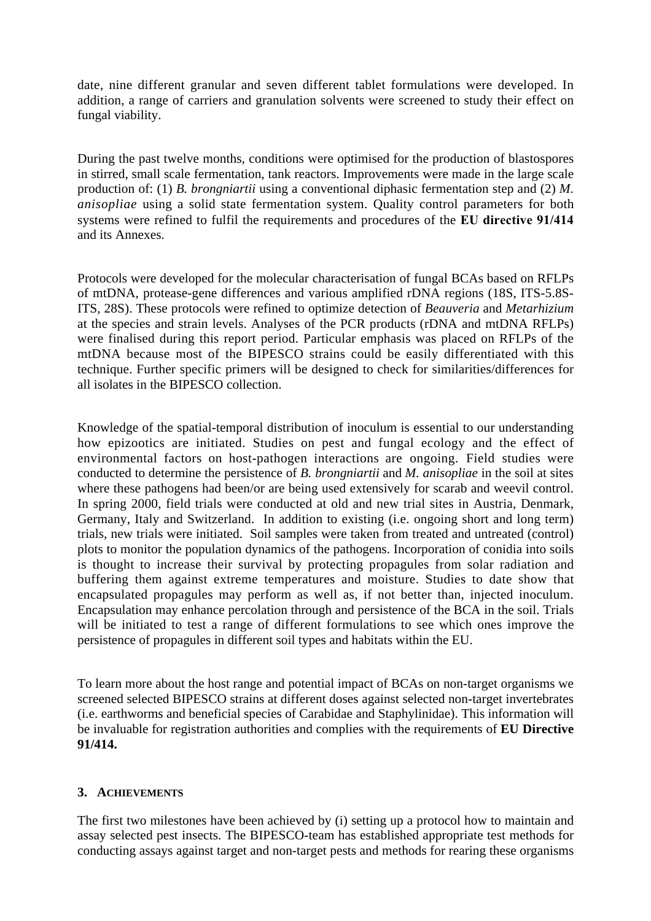date, nine different granular and seven different tablet formulations were developed. In addition, a range of carriers and granulation solvents were screened to study their effect on fungal viability.

During the past twelve months, conditions were optimised for the production of blastospores in stirred, small scale fermentation, tank reactors. Improvements were made in the large scale production of: (1) *B. brongniartii* using a conventional diphasic fermentation step and (2) *M. anisopliae* using a solid state fermentation system. Quality control parameters for both systems were refined to fulfil the requirements and procedures of the **EU directive 91/414** and its Annexes.

Protocols were developed for the molecular characterisation of fungal BCAs based on RFLPs of mtDNA, protease-gene differences and various amplified rDNA regions (18S, ITS-5.8S-ITS, 28S). These protocols were refined to optimize detection of *Beauveria* and *Metarhizium* at the species and strain levels. Analyses of the PCR products (rDNA and mtDNA RFLPs) were finalised during this report period. Particular emphasis was placed on RFLPs of the mtDNA because most of the BIPESCO strains could be easily differentiated with this technique. Further specific primers will be designed to check for similarities/differences for all isolates in the BIPESCO collection.

Knowledge of the spatial-temporal distribution of inoculum is essential to our understanding how epizootics are initiated. Studies on pest and fungal ecology and the effect of environmental factors on host-pathogen interactions are ongoing. Field studies were conducted to determine the persistence of *B. brongniartii* and *M. anisopliae* in the soil at sites where these pathogens had been/or are being used extensively for scarab and weevil control. In spring 2000, field trials were conducted at old and new trial sites in Austria, Denmark, Germany, Italy and Switzerland. In addition to existing (i.e. ongoing short and long term) trials, new trials were initiated. Soil samples were taken from treated and untreated (control) plots to monitor the population dynamics of the pathogens. Incorporation of conidia into soils is thought to increase their survival by protecting propagules from solar radiation and buffering them against extreme temperatures and moisture. Studies to date show that encapsulated propagules may perform as well as, if not better than, injected inoculum. Encapsulation may enhance percolation through and persistence of the BCA in the soil. Trials will be initiated to test a range of different formulations to see which ones improve the persistence of propagules in different soil types and habitats within the EU.

To learn more about the host range and potential impact of BCAs on non-target organisms we screened selected BIPESCO strains at different doses against selected non-target invertebrates (i.e. earthworms and beneficial species of Carabidae and Staphylinidae). This information will be invaluable for registration authorities and complies with the requirements of **EU Directive 91/414.**

## **3. ACHIEVEMENTS**

The first two milestones have been achieved by (i) setting up a protocol how to maintain and assay selected pest insects. The BIPESCO-team has established appropriate test methods for conducting assays against target and non-target pests and methods for rearing these organisms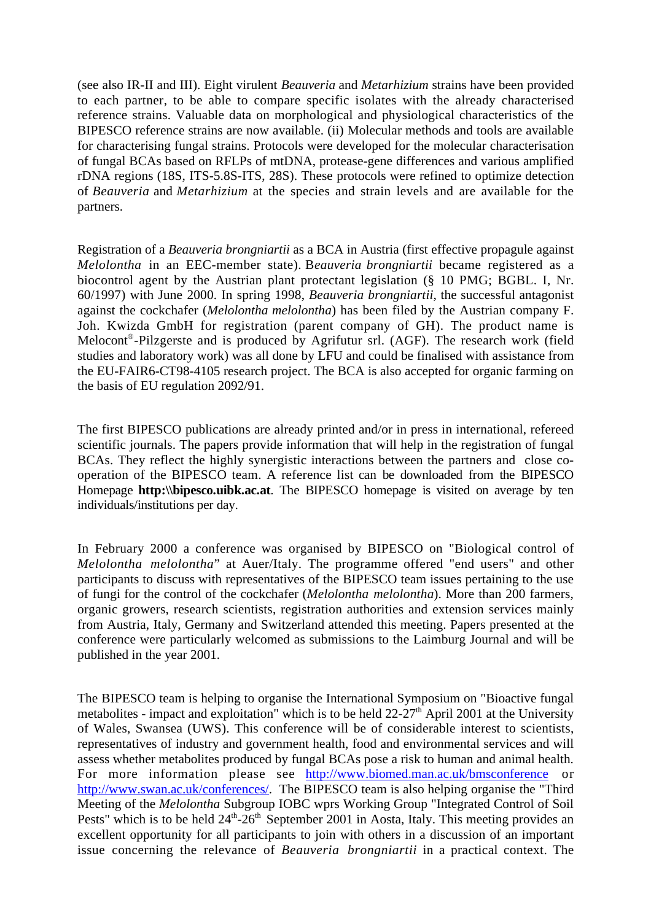(see also IR-II and III). Eight virulent *Beauveria* and *Metarhizium* strains have been provided to each partner, to be able to compare specific isolates with the already characterised reference strains. Valuable data on morphological and physiological characteristics of the BIPESCO reference strains are now available. (ii) Molecular methods and tools are available for characterising fungal strains. Protocols were developed for the molecular characterisation of fungal BCAs based on RFLPs of mtDNA, protease-gene differences and various amplified rDNA regions (18S, ITS-5.8S-ITS, 28S). These protocols were refined to optimize detection of *Beauveria* and *Metarhizium* at the species and strain levels and are available for the partners.

Registration of a *Beauveria brongniartii* as a BCA in Austria (first effective propagule against *Melolontha* in an EEC-member state). B*eauveria brongniartii* became registered as a biocontrol agent by the Austrian plant protectant legislation (§ 10 PMG; BGBL. I, Nr. 60/1997) with June 2000. In spring 1998, *Beauveria brongniartii*, the successful antagonist against the cockchafer (*Melolontha melolontha*) has been filed by the Austrian company F. Joh. Kwizda GmbH for registration (parent company of GH). The product name is Melocont®-Pilzgerste and is produced by Agrifutur srl. (AGF). The research work (field studies and laboratory work) was all done by LFU and could be finalised with assistance from the EU-FAIR6-CT98-4105 research project. The BCA is also accepted for organic farming on the basis of EU regulation 2092/91.

The first BIPESCO publications are already printed and/or in press in international, refereed scientific journals. The papers provide information that will help in the registration of fungal BCAs. They reflect the highly synergistic interactions between the partners and close cooperation of the BIPESCO team. A reference list can be downloaded from the BIPESCO Homepage **http:**\\bipesco.uibk.ac.at. The BIPESCO homepage is visited on average by ten individuals/institutions per day.

In February 2000 a conference was organised by BIPESCO on "Biological control of *Melolontha melolontha*" at Auer/Italy. The programme offered "end users" and other participants to discuss with representatives of the BIPESCO team issues pertaining to the use of fungi for the control of the cockchafer (*Melolontha melolontha*). More than 200 farmers, organic growers, research scientists, registration authorities and extension services mainly from Austria, Italy, Germany and Switzerland attended this meeting. Papers presented at the conference were particularly welcomed as submissions to the Laimburg Journal and will be published in the year 2001.

The BIPESCO team is helping to organise the International Symposium on "Bioactive fungal metabolites - impact and exploitation" which is to be held  $22-27<sup>th</sup>$  April 2001 at the University of Wales, Swansea (UWS). This conference will be of considerable interest to scientists, representatives of industry and government health, food and environmental services and will assess whether metabolites produced by fungal BCAs pose a risk to human and animal health. For more information please see http://www.biomed.man.ac.uk/bmsconference or http://www.swan.ac.uk/conferences/. The BIPESCO team is also helping organise the "Third Meeting of the *Melolontha* Subgroup IOBC wprs Working Group "Integrated Control of Soil Pests" which is to be held  $24<sup>th</sup>$ -26<sup>th</sup> September 2001 in Aosta, Italy. This meeting provides an excellent opportunity for all participants to join with others in a discussion of an important issue concerning the relevance of *Beauveria brongniartii* in a practical context. The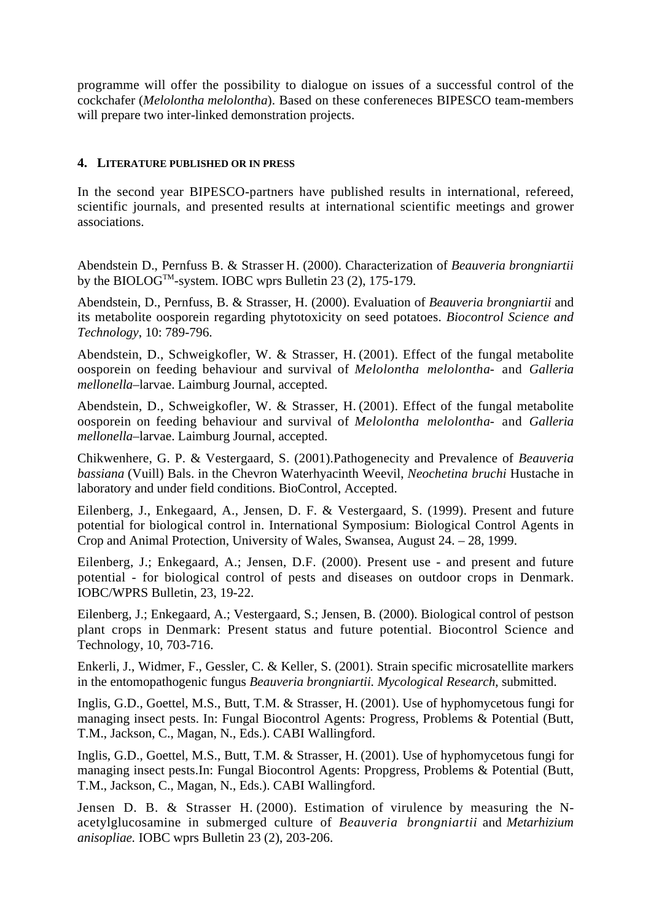programme will offer the possibility to dialogue on issues of a successful control of the cockchafer (*Melolontha melolontha*). Based on these confereneces BIPESCO team-members will prepare two inter-linked demonstration projects.

# **4. LITERATURE PUBLISHED OR IN PRESS**

In the second year BIPESCO-partners have published results in international, refereed, scientific journals, and presented results at international scientific meetings and grower associations.

Abendstein D., Pernfuss B. & Strasser H. (2000). Characterization of *Beauveria brongniartii* by the BIOLOG<sup>TM</sup>-system. IOBC wprs Bulletin 23 (2), 175-179.

Abendstein, D., Pernfuss, B. & Strasser, H. (2000). Evaluation of *Beauveria brongniartii* and its metabolite oosporein regarding phytotoxicity on seed potatoes. *Biocontrol Science and Technology*, 10: 789-796.

Abendstein, D., Schweigkofler, W. & Strasser, H. (2001). Effect of the fungal metabolite oosporein on feeding behaviour and survival of *Melolontha melolontha*- and *Galleria mellonella*–larvae. Laimburg Journal, accepted.

Abendstein, D., Schweigkofler, W. & Strasser, H. (2001). Effect of the fungal metabolite oosporein on feeding behaviour and survival of *Melolontha melolontha*- and *Galleria mellonella*–larvae. Laimburg Journal, accepted.

Chikwenhere, G. P. & Vestergaard, S. (2001).Pathogenecity and Prevalence of *Beauveria bassiana* (Vuill) Bals. in the Chevron Waterhyacinth Weevil, *Neochetina bruchi* Hustache in laboratory and under field conditions. BioControl, Accepted.

Eilenberg, J., Enkegaard, A., Jensen, D. F. & Vestergaard, S. (1999). Present and future potential for biological control in. International Symposium: Biological Control Agents in Crop and Animal Protection, University of Wales, Swansea, August 24. – 28, 1999.

Eilenberg, J.; Enkegaard, A.; Jensen, D.F. (2000). Present use - and present and future potential - for biological control of pests and diseases on outdoor crops in Denmark. IOBC/WPRS Bulletin, 23, 19-22.

Eilenberg, J.; Enkegaard, A.; Vestergaard, S.; Jensen, B. (2000). Biological control of pestson plant crops in Denmark: Present status and future potential. Biocontrol Science and Technology, 10, 703-716.

Enkerli, J., Widmer, F., Gessler, C. & Keller, S. (2001). Strain specific microsatellite markers in the entomopathogenic fungus *Beauveria brongniartii. Mycological Research*, submitted.

Inglis, G.D., Goettel, M.S., Butt, T.M. & Strasser, H. (2001). Use of hyphomycetous fungi for managing insect pests. In: Fungal Biocontrol Agents: Progress, Problems & Potential (Butt, T.M., Jackson, C., Magan, N., Eds.). CABI Wallingford.

Inglis, G.D., Goettel, M.S., Butt, T.M. & Strasser, H. (2001). Use of hyphomycetous fungi for managing insect pests.In: Fungal Biocontrol Agents: Propgress, Problems & Potential (Butt, T.M., Jackson, C., Magan, N., Eds.). CABI Wallingford.

Jensen D. B. & Strasser H. (2000). Estimation of virulence by measuring the Nacetylglucosamine in submerged culture of *Beauveria brongniartii* and *Metarhizium anisopliae.* IOBC wprs Bulletin 23 (2), 203-206.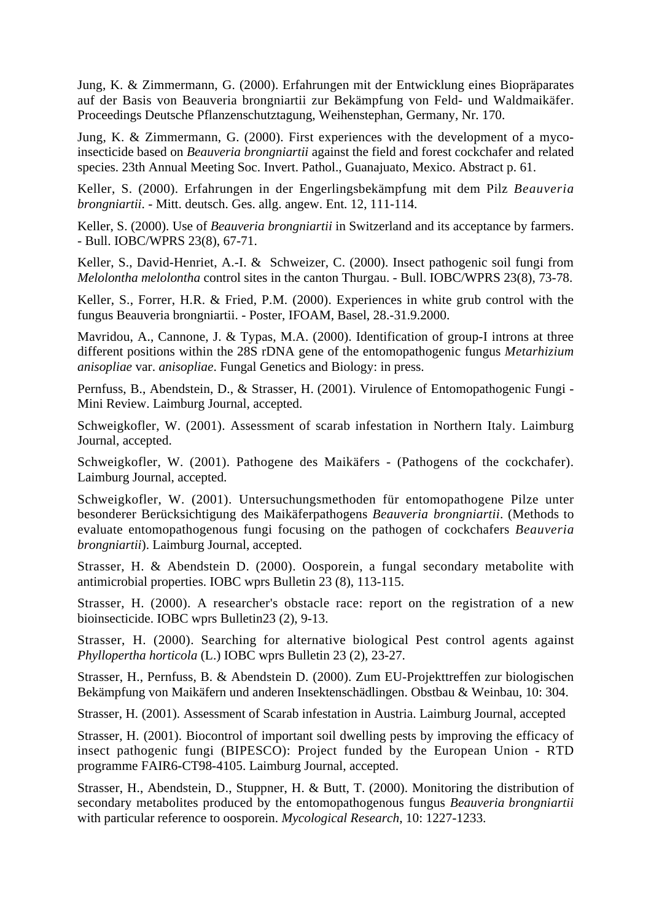Jung, K. & Zimmermann, G. (2000). Erfahrungen mit der Entwicklung eines Biopräparates auf der Basis von Beauveria brongniartii zur Bekämpfung von Feld- und Waldmaikäfer. Proceedings Deutsche Pflanzenschutztagung, Weihenstephan, Germany, Nr. 170.

Jung, K. & Zimmermann, G. (2000). First experiences with the development of a mycoinsecticide based on *Beauveria brongniartii* against the field and forest cockchafer and related species. 23th Annual Meeting Soc. Invert. Pathol., Guanajuato, Mexico. Abstract p. 61.

Keller, S. (2000). Erfahrungen in der Engerlingsbekämpfung mit dem Pilz *Beauveria brongniartii*. - Mitt. deutsch. Ges. allg. angew. Ent. 12, 111-114.

Keller, S. (2000). Use of *Beauveria brongniartii* in Switzerland and its acceptance by farmers. - Bull. IOBC/WPRS 23(8), 67-71.

Keller, S., David-Henriet, A.-I. & Schweizer, C. (2000). Insect pathogenic soil fungi from *Melolontha melolontha* control sites in the canton Thurgau. - Bull. IOBC/WPRS 23(8), 73-78.

Keller, S., Forrer, H.R. & Fried, P.M. (2000). Experiences in white grub control with the fungus Beauveria brongniartii. - Poster, IFOAM, Basel, 28.-31.9.2000.

Mavridou, A., Cannone, J. & Typas, M.A. (2000). Identification of group-I introns at three different positions within the 28S rDNA gene of the entomopathogenic fungus *Metarhizium anisopliae* var. *anisopliae*. Fungal Genetics and Biology: in press.

Pernfuss, B., Abendstein, D., & Strasser, H. (2001). Virulence of Entomopathogenic Fungi - Mini Review. Laimburg Journal, accepted.

Schweigkofler, W. (2001). Assessment of scarab infestation in Northern Italy. Laimburg Journal, accepted.

Schweigkofler, W. (2001). Pathogene des Maikäfers - (Pathogens of the cockchafer). Laimburg Journal, accepted.

Schweigkofler, W. (2001). Untersuchungsmethoden für entomopathogene Pilze unter besonderer Berücksichtigung des Maikäferpathogens *Beauveria brongniartii*. (Methods to evaluate entomopathogenous fungi focusing on the pathogen of cockchafers *Beauveria brongniartii*). Laimburg Journal, accepted.

Strasser, H. & Abendstein D. (2000). Oosporein, a fungal secondary metabolite with antimicrobial properties. IOBC wprs Bulletin 23 (8), 113-115.

Strasser, H. (2000). A researcher's obstacle race: report on the registration of a new bioinsecticide. IOBC wprs Bulletin23 (2), 9-13.

Strasser, H. (2000). Searching for alternative biological Pest control agents against *Phyllopertha horticola* (L.) IOBC wprs Bulletin 23 (2), 23-27.

Strasser, H., Pernfuss, B. & Abendstein D. (2000). Zum EU-Projekttreffen zur biologischen Bekämpfung von Maikäfern und anderen Insektenschädlingen. Obstbau & Weinbau, 10: 304.

Strasser, H. (2001). Assessment of Scarab infestation in Austria. Laimburg Journal, accepted

Strasser, H. (2001). Biocontrol of important soil dwelling pests by improving the efficacy of insect pathogenic fungi (BIPESCO): Project funded by the European Union - RTD programme FAIR6-CT98-4105. Laimburg Journal, accepted.

Strasser, H., Abendstein, D., Stuppner, H. & Butt, T. (2000). Monitoring the distribution of secondary metabolites produced by the entomopathogenous fungus *Beauveria brongniartii* with particular reference to oosporein. *Mycological Research*, 10: 1227-1233.